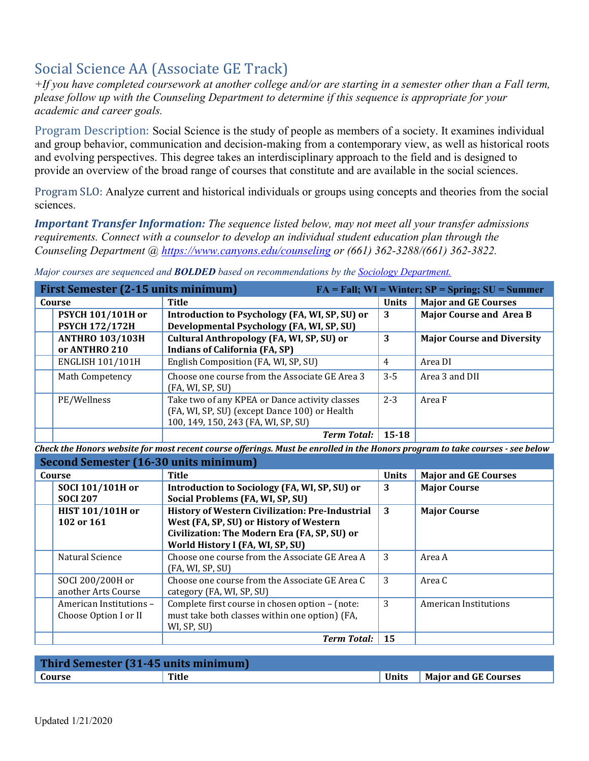# Social Science AA (Associate GE Track)

*+If you have completed coursework at another college and/or are starting in a semester other than a Fall term, please follow up with the Counseling Department to determine if this sequence is appropriate for your academic and career goals.* 

Program Description: Social Science is the study of people as members of a society. It examines individual and group behavior, communication and decision-making from a contemporary view, as well as historical roots and evolving perspectives. This degree takes an interdisciplinary approach to the field and is designed to provide an overview of the broad range of courses that constitute and are available in the social sciences.

Program SLO: Analyze current and historical individuals or groups using concepts and theories from the social sciences.

*Important Transfer Information: The sequence listed below, may not meet all your transfer admissions requirements. Connect with a counselor to develop an individual student education plan through the Counseling Department @<https://www.canyons.edu/counseling>or (661) 362-3288/(661) 362-3822.* 

 **Introduction to Psychology (FA, WI, SP, SU) or Developmental Psychology (FA, WI, SP, SU) 3 Major Course and Area B ANTHRO 103/103H or ANTHRO 210 Cultural Anthropology (FA, WI, SP, SU) or Indians of California (FA, SP) 3 Major Course and Diversity**  ENGLISH 101/101H English Composition (FA, WI, SP, SU) 4 Area DI Math Competency **Choose one course from the Associate GE Area 3** PE/Wellness **Take two of any KPEA or Dance activity classes**  (FA, WI, SP, SU) (except Dance 100) or Health 100, 149, 150, 243 (FA, WI, SP, SU) First Semester (2-15 units minimum) **FA** = Fall; WI = Winter; SP = Spring; SU = Summer **Course Title Title The Course I** Title **Title I** Units Major and GE Courses **PSYCH 101/101H or PSYCH 172/172H**  (FA, WI, SP, SU) 3-5 Area 3 and DII  $2-3$  Area F *Term Total:* **15-18** 

*Major courses are sequenced and BOLDED based on recommendations by the [Sociology Department.](https://www.canyons.edu/academics/sociology/index.php)* 

 *Check the Honors website for most recent course offerings. Must be enrolled in the Honors program to take courses - see below* 

| <b>Second Semester (16-30 units minimum)</b>     |                                                                                                                                                                                       |              |                              |
|--------------------------------------------------|---------------------------------------------------------------------------------------------------------------------------------------------------------------------------------------|--------------|------------------------------|
| Course                                           | <b>Title</b>                                                                                                                                                                          | <b>Units</b> | <b>Major and GE Courses</b>  |
| SOCI 101/101H or<br><b>SOCI 207</b>              | Introduction to Sociology (FA, WI, SP, SU) or<br>Social Problems (FA, WI, SP, SU)                                                                                                     | 3            | <b>Major Course</b>          |
| <b>HIST 101/101H or</b><br>102 or 161            | <b>History of Western Civilization: Pre-Industrial</b><br>West (FA, SP, SU) or History of Western<br>Civilization: The Modern Era (FA, SP, SU) or<br>World History I (FA, WI, SP, SU) | 3            | <b>Major Course</b>          |
| Natural Science                                  | Choose one course from the Associate GE Area A<br>(FA, WI, SP, SU)                                                                                                                    | 3            | Area A                       |
| SOCI 200/200H or<br>another Arts Course          | Choose one course from the Associate GE Area C<br>category (FA, WI, SP, SU)                                                                                                           | 3            | Area C                       |
| American Institutions -<br>Choose Option I or II | Complete first course in chosen option - (note:<br>must take both classes within one option) (FA,<br>WI, SP, SU)                                                                      | 3            | <b>American Institutions</b> |
|                                                  | <b>Term Total:</b>                                                                                                                                                                    | 15           |                              |

| Third Semester (31-45 units minimum) |       |       |                             |
|--------------------------------------|-------|-------|-----------------------------|
| Course                               | Title | Units | <b>Major and GE Courses</b> |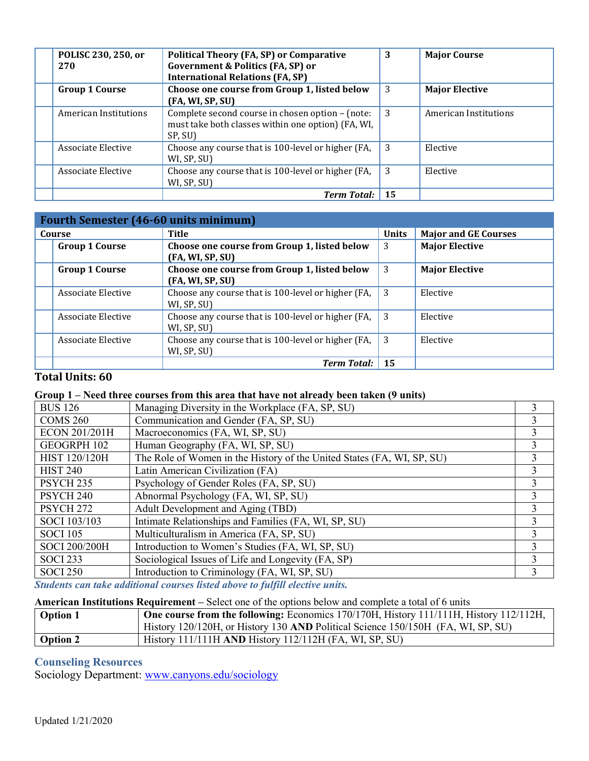| POLISC 230, 250, or<br>270 | <b>Political Theory (FA, SP) or Comparative</b><br><b>Government &amp; Politics (FA, SP) or</b><br><b>International Relations (FA, SP)</b> | 3  | <b>Major Course</b>   |
|----------------------------|--------------------------------------------------------------------------------------------------------------------------------------------|----|-----------------------|
| <b>Group 1 Course</b>      | Choose one course from Group 1, listed below<br>(FA, WI, SP, SU)                                                                           | 3  | <b>Major Elective</b> |
| American Institutions      | Complete second course in chosen option - (note:<br>must take both classes within one option) (FA, WI,<br>SP, SU)                          | 3  | American Institutions |
| Associate Elective         | Choose any course that is 100-level or higher (FA,<br>WI, SP, SU)                                                                          | 3  | Elective              |
| Associate Elective         | Choose any course that is 100-level or higher (FA,<br>WI, SP, SU)                                                                          | 3  | Elective              |
|                            | <b>Term Total:</b>                                                                                                                         | 15 |                       |

| <b>Fourth Semester (46-60 units minimum)</b> |                                                                   |              |                             |
|----------------------------------------------|-------------------------------------------------------------------|--------------|-----------------------------|
| Course                                       | Title                                                             | <b>Units</b> | <b>Major and GE Courses</b> |
| <b>Group 1 Course</b>                        | Choose one course from Group 1, listed below<br>(FA, WI, SP, SU)  | 3            | <b>Major Elective</b>       |
| <b>Group 1 Course</b>                        | Choose one course from Group 1, listed below<br>(FA, WI, SP, SU)  | 3            | <b>Major Elective</b>       |
| Associate Elective                           | Choose any course that is 100-level or higher (FA,<br>WI, SP, SU) | -3           | Elective                    |
| Associate Elective                           | Choose any course that is 100-level or higher (FA,<br>WI, SP, SU) | - 3          | Elective                    |
| Associate Elective                           | Choose any course that is 100-level or higher (FA,<br>WI, SP, SU) | - 3          | Elective                    |
|                                              | <b>Term Total:</b>                                                | 15           |                             |

## **Total Units: 60**

### **Group 1 – Need three courses from this area that have not already been taken (9 units)**

| <b>BUS 126</b>       | Managing Diversity in the Workplace (FA, SP, SU)                       |   |
|----------------------|------------------------------------------------------------------------|---|
| <b>COMS 260</b>      | Communication and Gender (FA, SP, SU)                                  |   |
| ECON 201/201H        | Macroeconomics (FA, WI, SP, SU)                                        |   |
| GEOGRPH 102          | Human Geography (FA, WI, SP, SU)                                       | 3 |
| HIST 120/120H        | The Role of Women in the History of the United States (FA, WI, SP, SU) |   |
| <b>HIST 240</b>      | Latin American Civilization (FA)                                       |   |
| PSYCH <sub>235</sub> | Psychology of Gender Roles (FA, SP, SU)                                |   |
| PSYCH <sub>240</sub> | Abnormal Psychology (FA, WI, SP, SU)                                   | 3 |
| PSYCH <sub>272</sub> | Adult Development and Aging (TBD)                                      |   |
| SOCI 103/103         | Intimate Relationships and Families (FA, WI, SP, SU)                   |   |
| <b>SOCI</b> 105      | Multiculturalism in America (FA, SP, SU)                               |   |
| SOCI 200/200H        | Introduction to Women's Studies (FA, WI, SP, SU)                       |   |
| <b>SOCI 233</b>      | Sociological Issues of Life and Longevity (FA, SP)                     |   |
| <b>SOCI 250</b>      | Introduction to Criminology (FA, WI, SP, SU)                           |   |

*Students can take additional courses listed above to fulfill elective units.* 

#### **American Institutions Requirement –** Select one of the options below and complete a total of 6 units

| Option 1 | <b>One course from the following:</b> Economics $170/170H$ , History $111/111H$ , History $112/112H$ , |
|----------|--------------------------------------------------------------------------------------------------------|
|          | History 120/120H, or History 130 AND Political Science 150/150H (FA, WI, SP, SU)                       |
| Option 2 | History 111/111H AND History 112/112H (FA, WI, SP, SU)                                                 |

## **Counseling Resources**

Sociology Department: www.canyons.edu/sociology